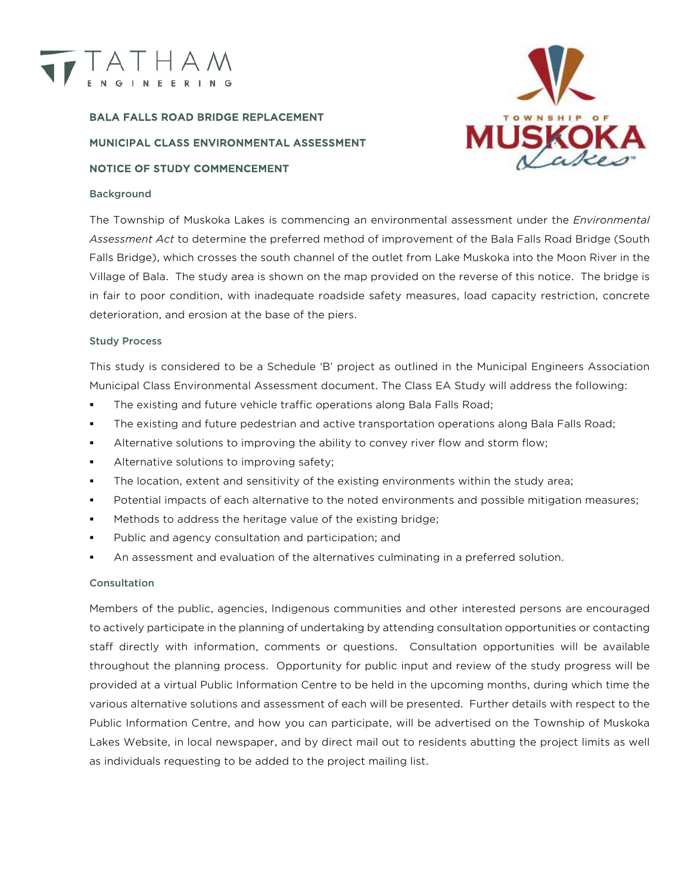

# BALA FALLS ROAD BRIDGE REPLACEMENT MUNICIPAL CLASS ENVIRONMENTAL ASSESSMENT NOTICE OF STUDY COMMENCEMENT

## Background



The Township of Muskoka Lakes is commencing an environmental assessment under the *Environmental Assessment Act* to determine the preferred method of improvement of the Bala Falls Road Bridge (South Falls Bridge), which crosses the south channel of the outlet from Lake Muskoka into the Moon River in the Village of Bala. The study area is shown on the map provided on the reverse of this notice. The bridge is in fair to poor condition, with inadequate roadside safety measures, load capacity restriction, concrete deterioration, and erosion at the base of the piers.

#### Study Process

This study is considered to be a Schedule 'B' project as outlined in the Municipal Engineers Association Municipal Class Environmental Assessment document. The Class EA Study will address the following:

- The existing and future vehicle traffic operations along Bala Falls Road;
- The existing and future pedestrian and active transportation operations along Bala Falls Road;
- Alternative solutions to improving the ability to convey river flow and storm flow;
- Alternative solutions to improving safety;
- The location, extent and sensitivity of the existing environments within the study area;
- Potential impacts of each alternative to the noted environments and possible mitigation measures;
- Methods to address the heritage value of the existing bridge;
- Public and agency consultation and participation; and
- An assessment and evaluation of the alternatives culminating in a preferred solution.

#### **Consultation**

Members of the public, agencies, Indigenous communities and other interested persons are encouraged to actively participate in the planning of undertaking by attending consultation opportunities or contacting staff directly with information, comments or questions. Consultation opportunities will be available throughout the planning process. Opportunity for public input and review of the study progress will be provided at a virtual Public Information Centre to be held in the upcoming months, during which time the various alternative solutions and assessment of each will be presented. Further details with respect to the Public Information Centre, and how you can participate, will be advertised on the Township of Muskoka Lakes Website, in local newspaper, and by direct mail out to residents abutting the project limits as well as individuals requesting to be added to the project mailing list.